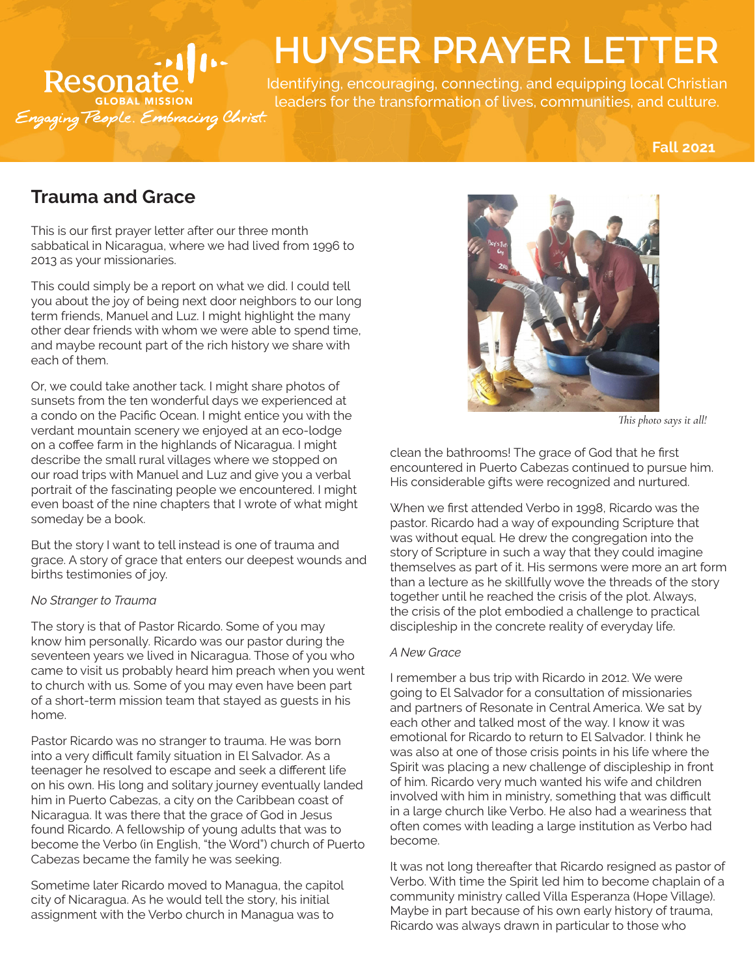# **Resonat** ESUITAIC. \*<br>GLOBAL MISSION<br>mg*Teople. Embracing Chris*

# **HUYSER PRAYER LETTER**

Identifying, encouraging, connecting, and equipping local Christian leaders for the transformation of lives, communities, and culture.

**Fall 2021**

# **Trauma and Grace**

This is our first prayer letter after our three month sabbatical in Nicaragua, where we had lived from 1996 to 2013 as your missionaries.

This could simply be a report on what we did. I could tell you about the joy of being next door neighbors to our long term friends, Manuel and Luz. I might highlight the many other dear friends with whom we were able to spend time, and maybe recount part of the rich history we share with each of them.

Or, we could take another tack. I might share photos of sunsets from the ten wonderful days we experienced at a condo on the Pacific Ocean. I might entice you with the verdant mountain scenery we enjoyed at an eco-lodge on a coffee farm in the highlands of Nicaragua. I might describe the small rural villages where we stopped on our road trips with Manuel and Luz and give you a verbal portrait of the fascinating people we encountered. I might even boast of the nine chapters that I wrote of what might someday be a book.

But the story I want to tell instead is one of trauma and grace. A story of grace that enters our deepest wounds and births testimonies of joy.

# *No Stranger to Trauma*

The story is that of Pastor Ricardo. Some of you may know him personally. Ricardo was our pastor during the seventeen years we lived in Nicaragua. Those of you who came to visit us probably heard him preach when you went to church with us. Some of you may even have been part of a short-term mission team that stayed as guests in his home.

Pastor Ricardo was no stranger to trauma. He was born into a very difficult family situation in El Salvador. As a teenager he resolved to escape and seek a different life on his own. His long and solitary journey eventually landed him in Puerto Cabezas, a city on the Caribbean coast of Nicaragua. It was there that the grace of God in Jesus found Ricardo. A fellowship of young adults that was to become the Verbo (in English, "the Word") church of Puerto Cabezas became the family he was seeking.

Sometime later Ricardo moved to Managua, the capitol city of Nicaragua. As he would tell the story, his initial assignment with the Verbo church in Managua was to



*This photo says it all!*

clean the bathrooms! The grace of God that he first encountered in Puerto Cabezas continued to pursue him. His considerable gifts were recognized and nurtured.

When we first attended Verbo in 1998, Ricardo was the pastor. Ricardo had a way of expounding Scripture that was without equal. He drew the congregation into the story of Scripture in such a way that they could imagine themselves as part of it. His sermons were more an art form than a lecture as he skillfully wove the threads of the story together until he reached the crisis of the plot. Always, the crisis of the plot embodied a challenge to practical discipleship in the concrete reality of everyday life.

# *A New Grace*

I remember a bus trip with Ricardo in 2012. We were going to El Salvador for a consultation of missionaries and partners of Resonate in Central America. We sat by each other and talked most of the way. I know it was emotional for Ricardo to return to El Salvador. I think he was also at one of those crisis points in his life where the Spirit was placing a new challenge of discipleship in front of him. Ricardo very much wanted his wife and children involved with him in ministry, something that was difficult in a large church like Verbo. He also had a weariness that often comes with leading a large institution as Verbo had become.

It was not long thereafter that Ricardo resigned as pastor of Verbo. With time the Spirit led him to become chaplain of a community ministry called Villa Esperanza (Hope Village). Maybe in part because of his own early history of trauma, Ricardo was always drawn in particular to those who